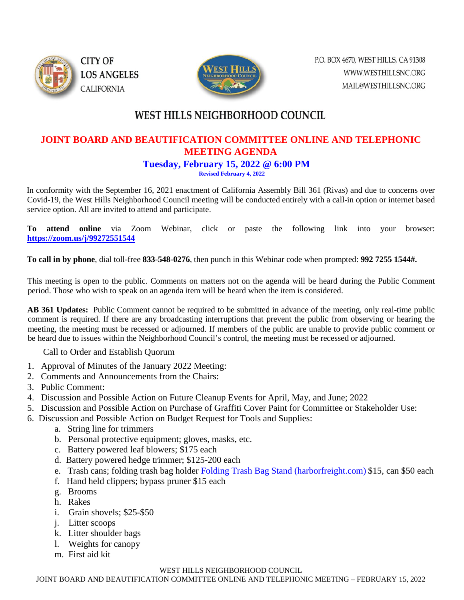



# WEST HILLS NEIGHBORHOOD COUNCIL

### **JOINT BOARD AND BEAUTIFICATION COMMITTEE ONLINE AND TELEPHONIC MEETING AGENDA**

#### **Tuesday, February 15, 2022 @ 6:00 PM**

**Revised February 4, 2022**

In conformity with the September 16, 2021 enactment of California Assembly Bill 361 (Rivas) and due to concerns over Covid-19, the West Hills Neighborhood Council meeting will be conducted entirely with a call-in option or internet based service option. All are invited to attend and participate.

**To attend online** via Zoom Webinar, click or paste the following link into your browser: **<https://zoom.us/j/99272551544>**

**To call in by phone**, dial toll-free **833-548-0276**, then punch in this Webinar code when prompted: **992 7255 1544#.** 

This meeting is open to the public. Comments on matters not on the agenda will be heard during the Public Comment period. Those who wish to speak on an agenda item will be heard when the item is considered.

**AB 361 Updates:** Public Comment cannot be required to be submitted in advance of the meeting, only real-time public comment is required. If there are any broadcasting interruptions that prevent the public from observing or hearing the meeting, the meeting must be recessed or adjourned. If members of the public are unable to provide public comment or be heard due to issues within the Neighborhood Council's control, the meeting must be recessed or adjourned.

Call to Order and Establish Quorum

- 1. Approval of Minutes of the January 2022 Meeting:
- 2. Comments and Announcements from the Chairs:
- 3. Public Comment:
- 4. Discussion and Possible Action on Future Cleanup Events for April, May, and June; 2022
- 5. Discussion and Possible Action on Purchase of Graffiti Cover Paint for Committee or Stakeholder Use:
- 6. Discussion and Possible Action on Budget Request for Tools and Supplies:
	- a. String line for trimmers
	- b. Personal protective equipment; gloves, masks, etc.
	- c. Battery powered leaf blowers; \$175 each
	- d. Battery powered hedge trimmer; \$125-200 each
	- e. Trash cans; folding trash bag holder [Folding Trash Bag Stand \(harborfreight.com\)](https://www.harborfreight.com/folding-trash-bag-stand-90430.html) \$15, can \$50 each
	- f. Hand held clippers; bypass pruner \$15 each
	- g. Brooms
	- h. Rakes
	- i. Grain shovels; \$25-\$50
	- j. Litter scoops
	- k. Litter shoulder bags
	- l. Weights for canopy
	- m. First aid kit

#### WEST HILLS NEIGHBORHOOD COUNCIL

JOINT BOARD AND BEAUTIFICATION COMMITTEE ONLINE AND TELEPHONIC MEETING – FEBRUARY 15, 2022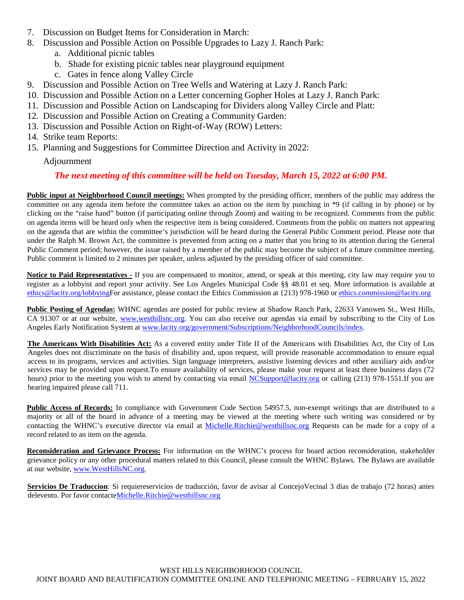- 7. Discussion on Budget Items for Consideration in March:
- 8. Discussion and Possible Action on Possible Upgrades to Lazy J. Ranch Park:
	- a. Additional picnic tables
	- b. Shade for existing picnic tables near playground equipment
	- c. Gates in fence along Valley Circle
- 9. Discussion and Possible Action on Tree Wells and Watering at Lazy J. Ranch Park:
- 10. Discussion and Possible Action on a Letter concerning Gopher Holes at Lazy J. Ranch Park:
- 11. Discussion and Possible Action on Landscaping for Dividers along Valley Circle and Platt:
- 12. Discussion and Possible Action on Creating a Community Garden:
- 13. Discussion and Possible Action on Right-of-Way (ROW) Letters:
- 14. Strike team Reports:
- 15. Planning and Suggestions for Committee Direction and Activity in 2022:

Adjournment

#### *The next meeting of this committee will be held on Tuesday, March 15, 2022 at 6:00 PM.*

**Public input at Neighborhood Council meetings:** When prompted by the presiding officer, members of the public may address the committee on any agenda item before the committee takes an action on the item by punching in \*9 (if calling in by phone) or by clicking on the "raise hand" button (if participating online through Zoom) and waiting to be recognized. Comments from the public on agenda items will be heard only when the respective item is being considered. Comments from the public on matters not appearing on the agenda that are within the committee's jurisdiction will be heard during the General Public Comment period. Please note that under the Ralph M. Brown Act, the committee is prevented from acting on a matter that you bring to its attention during the General Public Comment period; however, the issue raised by a member of the public may become the subject of a future committee meeting. Public comment is limited to 2 minutes per speaker, unless adjusted by the presiding officer of said committee.

**Notice to Paid Representatives -** If you are compensated to monitor, attend, or speak at this meeting, city law may require you to register as a lobbyist and report your activity. See Los Angeles Municipal Code §§ 48.01 et seq. More information is available at [ethics@lacity.org/lobbyingF](mailto:ethics@lacity.org/lobbying)or assistance, please contact the Ethics Commission at {213) 978-1960 or ethics.commission@lacity.org

**Public Posting of Agendas:** WHNC agendas are posted for public review at Shadow Ranch Park, 22633 Vanowen St., West Hills, CA 91307 or at our website, [www.westhillsnc.org.](http://www.westhillsnc.org/) You can also receive our agendas via email by subscribing to the City of Los Angeles Early Notification System at [www.lacity.org/government/Subscriptions/NeighborhoodCouncils/index.](http://www.lacity.org/government/Subscriptions/NeighborhoodCouncils/index)

**The Americans With Disabilities Act:** As a covered entity under Title II of the Americans with Disabilities Act, the City of Los Angeles does not discriminate on the basis of disability and, upon request, will provide reasonable accommodation to ensure equal access to its programs, services and activities. Sign language interpreters, assistive listening devices and other auxiliary aids and/or services may be provided upon request.To ensure availability of services, please make your request at least three business days (72 hours) prior to the meeting you wish to attend by contacting via email [NCSupport@lacity.org](mailto:NCSupport@lacity.org) or calling (213) 978-1551.If you are hearing impaired please call 711.

**Public Access of Records:** In compliance with Government Code Section 54957.5, non-exempt writings that are distributed to a majority or all of the board in advance of a meeting may be viewed at the meeting where such writing was considered or by contacting the WHNC's executive director via email at Michelle.Ritchie@westhillsnc.org Requests can be made for a copy of a record related to an item on the agenda.

**Reconsideration and Grievance Process:** For information on the WHNC's process for board action reconsideration, stakeholder grievance policy or any other procedural matters related to this Council, please consult the WHNC Bylaws. The Bylaws are available at our website, [www.WestHillsNC.org.](http://www.westhillsnc.org/)

**Servicios De Traduccion**: Si requiereservicios de traducción, favor de avisar al ConcejoVecinal 3 días de trabajo (72 horas) antes delevento. Por favor contact[eMichelle.Ritchie@westhillsnc.org](mailto:Michelle.Ritchie@westhillsnc.org)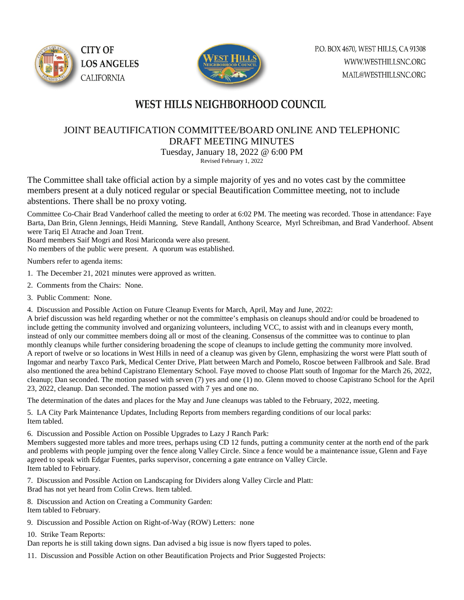



## WEST HILLS NEIGHBORHOOD COUNCIL

### JOINT BEAUTIFICATION COMMITTEE/BOARD ONLINE AND TELEPHONIC DRAFT MEETING MINUTES Tuesday, January 18, 2022 @ 6:00 PM

Revised February 1, 2022

The Committee shall take official action by a simple majority of yes and no votes cast by the committee members present at a duly noticed regular or special Beautification Committee meeting, not to include abstentions. There shall be no proxy voting.

Committee Co-Chair Brad Vanderhoof called the meeting to order at 6:02 PM. The meeting was recorded. Those in attendance: Faye Barta, Dan Brin, Glenn Jennings, Heidi Manning, Steve Randall, Anthony Scearce, Myrl Schreibman, and Brad Vanderhoof. Absent were Tariq El Atrache and Joan Trent.

Board members Saif Mogri and Rosi Mariconda were also present.

No members of the public were present. A quorum was established.

Numbers refer to agenda items:

- 1. The December 21, 2021 minutes were approved as written.
- 2. Comments from the Chairs: None.
- 3. Public Comment: None.

4. Discussion and Possible Action on Future Cleanup Events for March, April, May and June, 2022:

A brief discussion was held regarding whether or not the committee's emphasis on cleanups should and/or could be broadened to include getting the community involved and organizing volunteers, including VCC, to assist with and in cleanups every month, instead of only our committee members doing all or most of the cleaning. Consensus of the committee was to continue to plan monthly cleanups while further considering broadening the scope of cleanups to include getting the community more involved. A report of twelve or so locations in West Hills in need of a cleanup was given by Glenn, emphasizing the worst were Platt south of Ingomar and nearby Taxco Park, Medical Center Drive, Platt between March and Pomelo, Roscoe between Fallbrook and Sale. Brad also mentioned the area behind Capistrano Elementary School. Faye moved to choose Platt south of Ingomar for the March 26, 2022, cleanup; Dan seconded. The motion passed with seven (7) yes and one (1) no. Glenn moved to choose Capistrano School for the April 23, 2022, cleanup. Dan seconded. The motion passed with 7 yes and one no.

The determination of the dates and places for the May and June cleanups was tabled to the February, 2022, meeting.

5. LA City Park Maintenance Updates, Including Reports from members regarding conditions of our local parks: Item tabled.

6. Discussion and Possible Action on Possible Upgrades to Lazy J Ranch Park:

Members suggested more tables and more trees, perhaps using CD 12 funds, putting a community center at the north end of the park and problems with people jumping over the fence along Valley Circle. Since a fence would be a maintenance issue, Glenn and Faye agreed to speak with Edgar Fuentes, parks supervisor, concerning a gate entrance on Valley Circle. Item tabled to February.

7. Discussion and Possible Action on Landscaping for Dividers along Valley Circle and Platt: Brad has not yet heard from Colin Crews. Item tabled.

- 8. Discussion and Action on Creating a Community Garden:
- Item tabled to February.
- 9. Discussion and Possible Action on Right-of-Way (ROW) Letters: none
- 10. Strike Team Reports:

Dan reports he is still taking down signs. Dan advised a big issue is now flyers taped to poles.

11. Discussion and Possible Action on other Beautification Projects and Prior Suggested Projects: